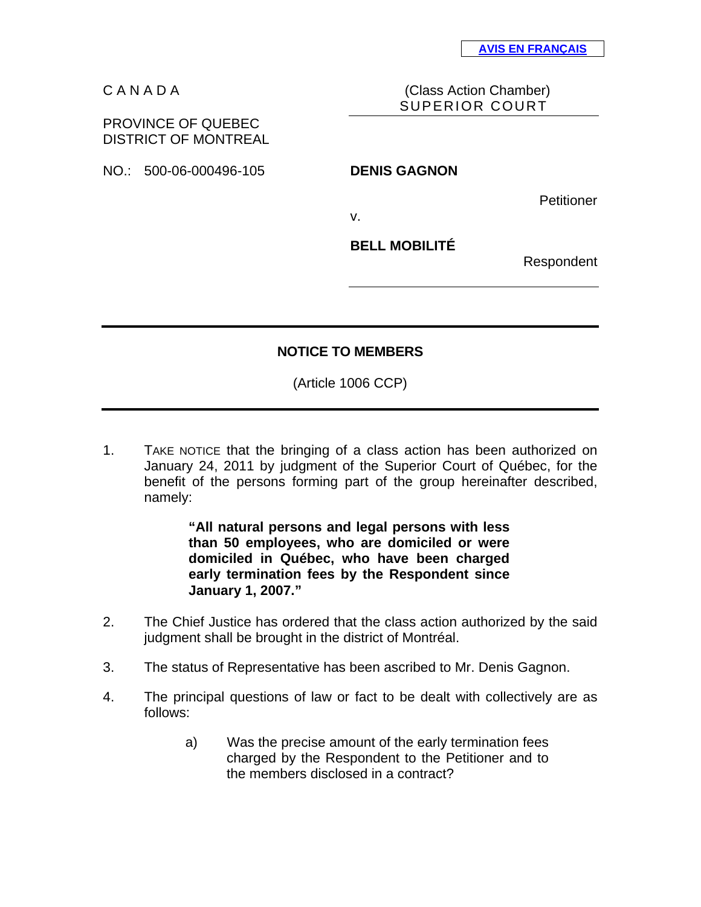C A N A D A (Class Action Chamber) SUPERIOR COURT

## PROVINCE OF QUEBEC DISTRICT OF MONTREAL

NO.: 500-06-000496-105 **DENIS GAGNON** 

**Petitioner** 

v.

**BELL MOBILITÉ** 

Respondent

## **NOTICE TO MEMBERS**

(Article 1006 CCP)

1. TAKE NOTICE that the bringing of a class action has been authorized on January 24, 2011 by judgment of the Superior Court of Québec, for the benefit of the persons forming part of the group hereinafter described, namely:

> **"All natural persons and legal persons with less than 50 employees, who are domiciled or were domiciled in Québec, who have been charged early termination fees by the Respondent since January 1, 2007."**

- 2. The Chief Justice has ordered that the class action authorized by the said judgment shall be brought in the district of Montréal.
- 3. The status of Representative has been ascribed to Mr. Denis Gagnon.
- 4. The principal questions of law or fact to be dealt with collectively are as follows:
	- a) Was the precise amount of the early termination fees charged by the Respondent to the Petitioner and to the members disclosed in a contract?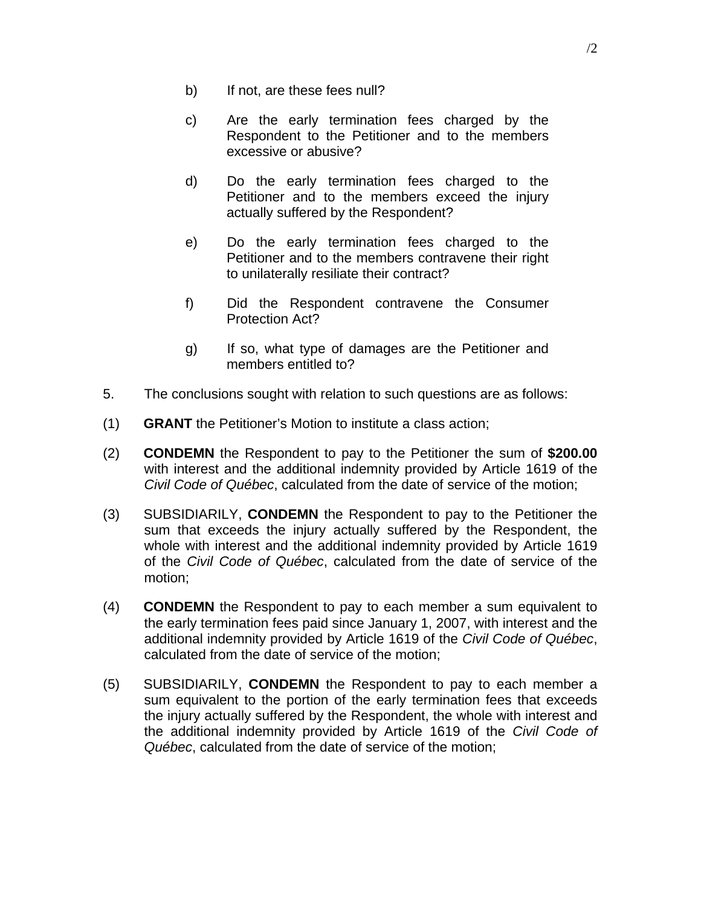- b) If not, are these fees null?
- c) Are the early termination fees charged by the Respondent to the Petitioner and to the members excessive or abusive?
- d) Do the early termination fees charged to the Petitioner and to the members exceed the injury actually suffered by the Respondent?
- e) Do the early termination fees charged to the Petitioner and to the members contravene their right to unilaterally resiliate their contract?
- f) Did the Respondent contravene the Consumer Protection Act?
- g) If so, what type of damages are the Petitioner and members entitled to?
- 5. The conclusions sought with relation to such questions are as follows:
- (1) **GRANT** the Petitioner's Motion to institute a class action;
- (2) **CONDEMN** the Respondent to pay to the Petitioner the sum of **\$200.00** with interest and the additional indemnity provided by Article 1619 of the *Civil Code of Québec*, calculated from the date of service of the motion;
- (3) SUBSIDIARILY, **CONDEMN** the Respondent to pay to the Petitioner the sum that exceeds the injury actually suffered by the Respondent, the whole with interest and the additional indemnity provided by Article 1619 of the *Civil Code of Québec*, calculated from the date of service of the motion;
- (4) **CONDEMN** the Respondent to pay to each member a sum equivalent to the early termination fees paid since January 1, 2007, with interest and the additional indemnity provided by Article 1619 of the *Civil Code of Québec*, calculated from the date of service of the motion;
- (5) SUBSIDIARILY, **CONDEMN** the Respondent to pay to each member a sum equivalent to the portion of the early termination fees that exceeds the injury actually suffered by the Respondent, the whole with interest and the additional indemnity provided by Article 1619 of the *Civil Code of Québec*, calculated from the date of service of the motion;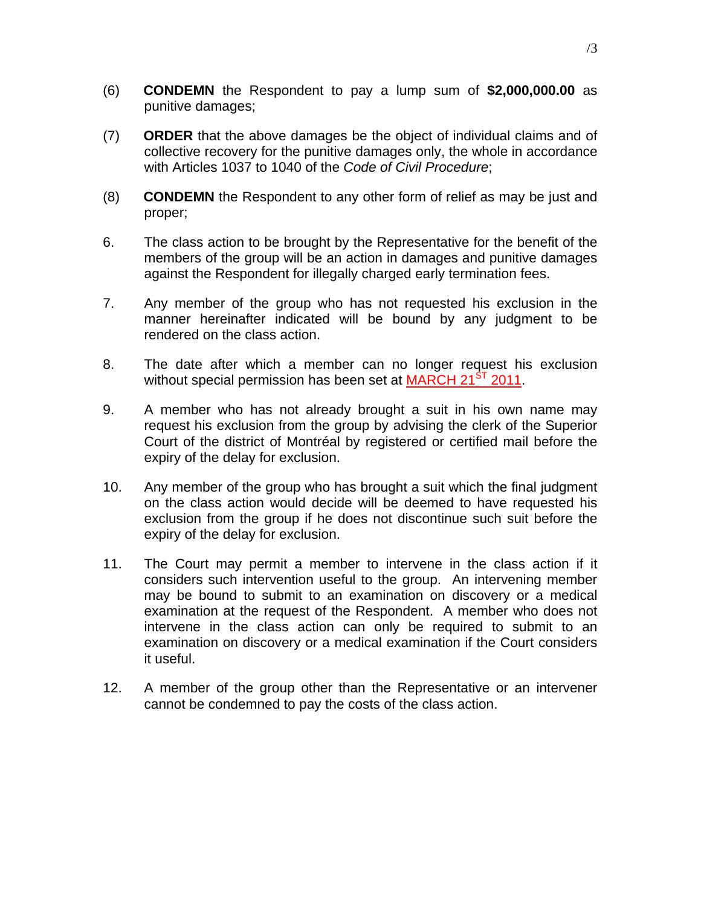- (6) **CONDEMN** the Respondent to pay a lump sum of **\$2,000,000.00** as punitive damages;
- (7) **ORDER** that the above damages be the object of individual claims and of collective recovery for the punitive damages only, the whole in accordance with Articles 1037 to 1040 of the *Code of Civil Procedure*;
- (8) **CONDEMN** the Respondent to any other form of relief as may be just and proper;
- 6. The class action to be brought by the Representative for the benefit of the members of the group will be an action in damages and punitive damages against the Respondent for illegally charged early termination fees.
- 7. Any member of the group who has not requested his exclusion in the manner hereinafter indicated will be bound by any judgment to be rendered on the class action.
- 8. The date after which a member can no longer request his exclusion without special permission has been set at MARCH 21<sup>ST</sup> 2011.
- 9. A member who has not already brought a suit in his own name may request his exclusion from the group by advising the clerk of the Superior Court of the district of Montréal by registered or certified mail before the expiry of the delay for exclusion.
- 10. Any member of the group who has brought a suit which the final judgment on the class action would decide will be deemed to have requested his exclusion from the group if he does not discontinue such suit before the expiry of the delay for exclusion.
- 11. The Court may permit a member to intervene in the class action if it considers such intervention useful to the group. An intervening member may be bound to submit to an examination on discovery or a medical examination at the request of the Respondent. A member who does not intervene in the class action can only be required to submit to an examination on discovery or a medical examination if the Court considers it useful.
- 12. A member of the group other than the Representative or an intervener cannot be condemned to pay the costs of the class action.